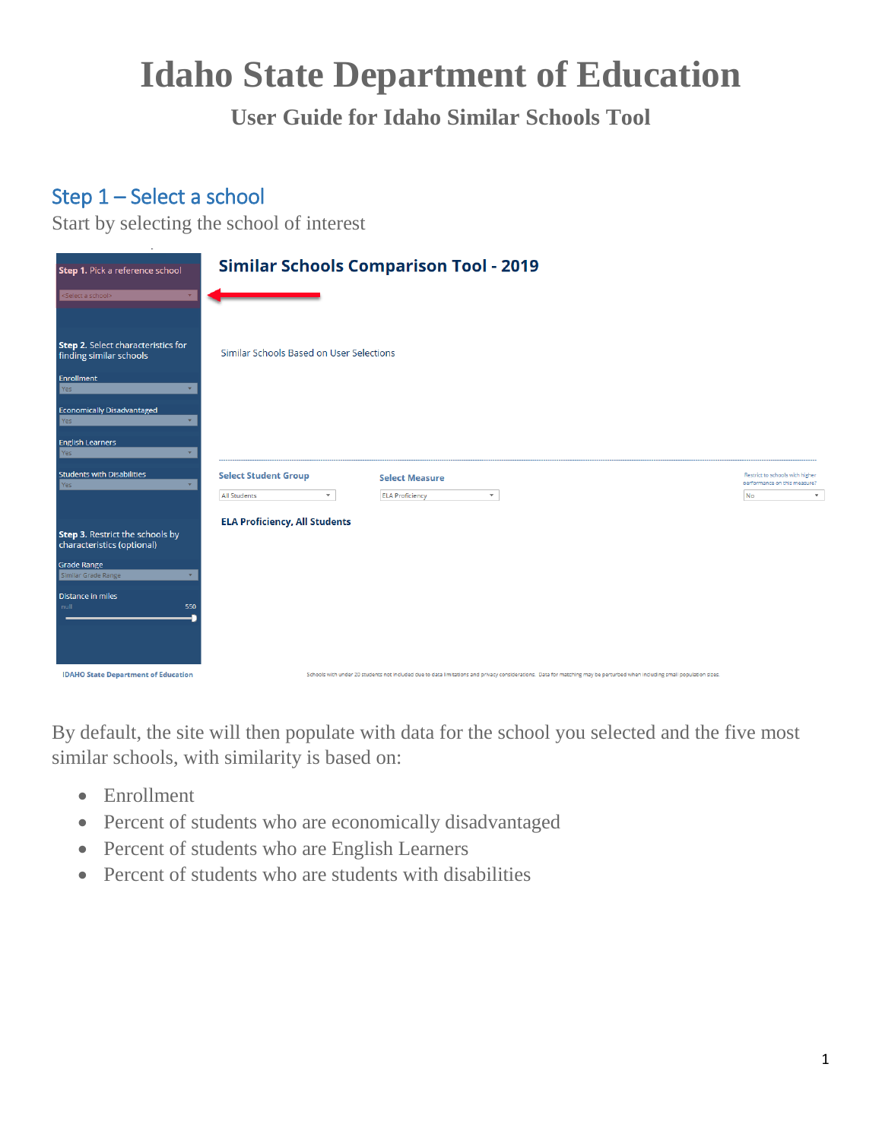# **Idaho State Department of Education**

**User Guide for Idaho Similar Schools Tool**

# Step 1 – Select a school

Start by selecting the school of interest

| Step 1. Pick a reference school                               | <b>Similar Schools Comparison Tool - 2019</b>                                                                                                                             |                                                                                       |
|---------------------------------------------------------------|---------------------------------------------------------------------------------------------------------------------------------------------------------------------------|---------------------------------------------------------------------------------------|
| Select a school>                                              |                                                                                                                                                                           |                                                                                       |
| Step 2. Select characteristics for<br>finding similar schools | Similar Schools Based on User Selections                                                                                                                                  |                                                                                       |
| Enrollment<br>Yes                                             |                                                                                                                                                                           |                                                                                       |
| Economically Disadvantaged<br>Yes                             |                                                                                                                                                                           |                                                                                       |
| <b>English Learners</b><br>Yes                                |                                                                                                                                                                           |                                                                                       |
| Students with Disabilities<br><b>Yes</b>                      | <b>Select Student Group</b><br><b>Select Measure</b><br><b>All Students</b><br>$\mathbf{v}$<br><b>ELA Proficiency</b><br>$\mathbf{v}$                                     | Restrict to schools with higher<br>performance on this measure?<br>No<br>$\mathbf{v}$ |
| Step 3. Restrict the schools by<br>characteristics (optional) | <b>ELA Proficiency, All Students</b>                                                                                                                                      |                                                                                       |
| Grade Range<br>Similar Grade Range                            |                                                                                                                                                                           |                                                                                       |
| Distance in miles<br>null<br>550                              |                                                                                                                                                                           |                                                                                       |
| <b>IDAHO State Department of Education</b>                    | Schools with under 20 students not included due to data limitations and privacy considerations. Data for matching may be perturbed when including small population sizes. |                                                                                       |

By default, the site will then populate with data for the school you selected and the five most similar schools, with similarity is based on:

- Enrollment
- Percent of students who are economically disadvantaged
- Percent of students who are English Learners
- Percent of students who are students with disabilities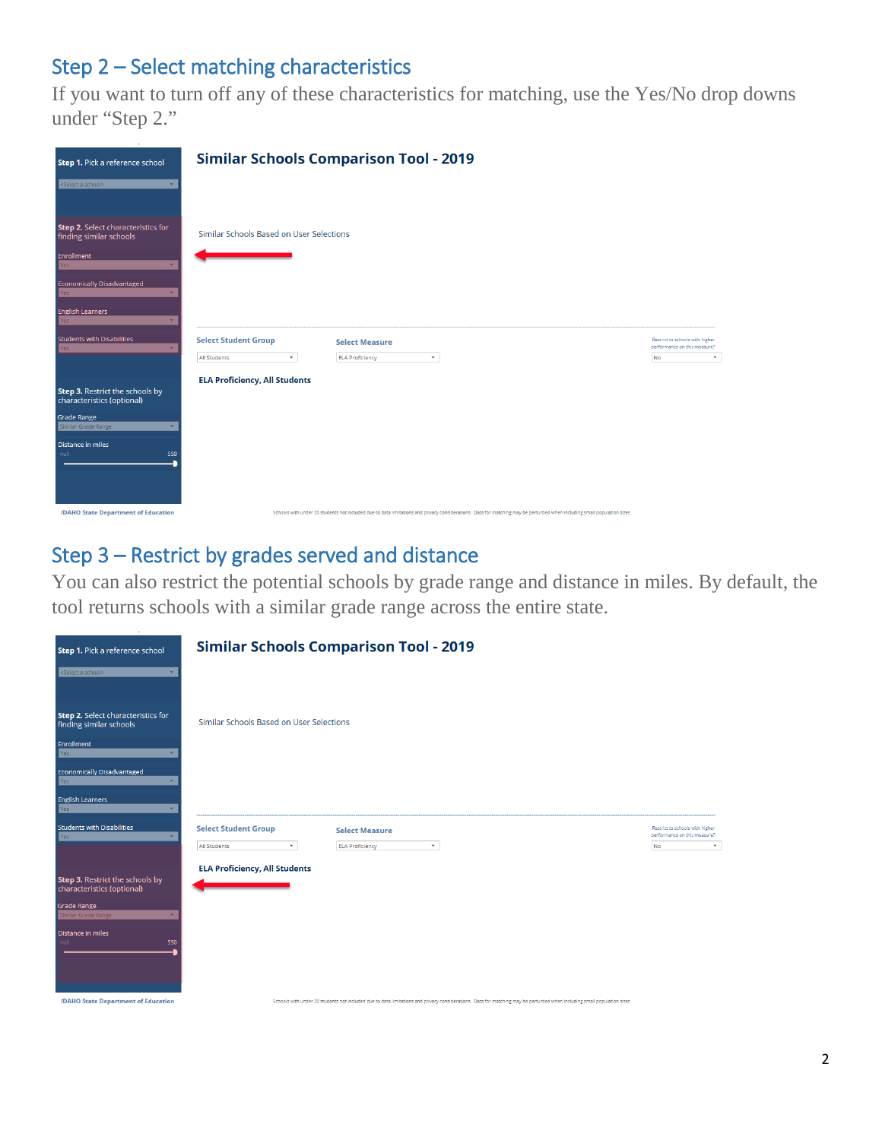### Step 2 – Select matching characteristics

If you want to turn off any of these characteristics for matching, use the Yes/No drop downs under "Step 2."

| Step 1. Pick a reference school                                      | <b>Similar Schools Comparison Tool - 2019</b>                                                                                                                             |                                                                                              |
|----------------------------------------------------------------------|---------------------------------------------------------------------------------------------------------------------------------------------------------------------------|----------------------------------------------------------------------------------------------|
| <select a="" school=""></select>                                     |                                                                                                                                                                           |                                                                                              |
| <b>Step 2.</b> Select characteristics for<br>finding similar schools | Similar Schools Based on User Selections                                                                                                                                  |                                                                                              |
| Enrollment<br>Yes                                                    |                                                                                                                                                                           |                                                                                              |
| <b>Economically Disadvantaged</b><br>Yes                             |                                                                                                                                                                           |                                                                                              |
| <b>English Learners</b><br>Yes                                       |                                                                                                                                                                           |                                                                                              |
| <b>Students with Disabilities</b><br>Yes                             | <b>Select Student Group</b><br><b>Select Measure</b><br>$\mathbf{v}$<br>All Students<br>$\mathbf{v}$<br><b>ELA Proficiency</b>                                            | Restrict to schools with higher<br>performance on this measure?<br><b>No</b><br>$\mathbf{v}$ |
| Step 3. Restrict the schools by<br>characteristics (optional)        | <b>ELA Proficiency, All Students</b>                                                                                                                                      |                                                                                              |
| Grade Range<br>Similar Grade Range                                   |                                                                                                                                                                           |                                                                                              |
| Distance in miles<br>null<br>550                                     |                                                                                                                                                                           |                                                                                              |
| <b>IDAHO State Department of Education</b>                           | Schools with under 20 students not included due to data limitations and privacy considerations. Data for matching may be perturbed when including small population sizes. |                                                                                              |

#### Step 3 – Restrict by grades served and distance

You can also restrict the potential schools by grade range and distance in miles. By default, the tool returns schools with a similar grade range across the entire state.

| Step 1. Pick a reference school                               | <b>Similar Schools Comparison Tool - 2019</b>                                                                                                                             |                                                                                              |
|---------------------------------------------------------------|---------------------------------------------------------------------------------------------------------------------------------------------------------------------------|----------------------------------------------------------------------------------------------|
| <select a="" school=""></select>                              |                                                                                                                                                                           |                                                                                              |
| Step 2. Select characteristics for<br>finding similar schools | Similar Schools Based on User Selections                                                                                                                                  |                                                                                              |
| Enrollment<br>Yes                                             |                                                                                                                                                                           |                                                                                              |
| <b>Economically Disadvantaged</b><br>Yes                      |                                                                                                                                                                           |                                                                                              |
| <b>English Learners</b><br>Yes                                |                                                                                                                                                                           |                                                                                              |
| <b>Students with Disabilities</b><br>Yes                      | <b>Select Student Group</b><br><b>Select Measure</b><br><b>All Students</b><br>$\mathbf{v}$<br><b>ELA Proficiency</b><br>$\mathbf{v}$                                     | Restrict to schools with higher<br>performance on this measure?<br><b>No</b><br>$\mathbf{v}$ |
|                                                               | <b>ELA Proficiency, All Students</b>                                                                                                                                      |                                                                                              |
| Step 3. Restrict the schools by<br>characteristics (optional) |                                                                                                                                                                           |                                                                                              |
| <b>Grade Range</b><br>Similar Grade Range                     |                                                                                                                                                                           |                                                                                              |
| <b>Distance in miles</b><br>550<br>null                       |                                                                                                                                                                           |                                                                                              |
| <b>IDAHO State Department of Education</b>                    | Schools with under 20 students not included due to data limitations and privacy considerations. Data for matching may be perturbed when including small population sizes. |                                                                                              |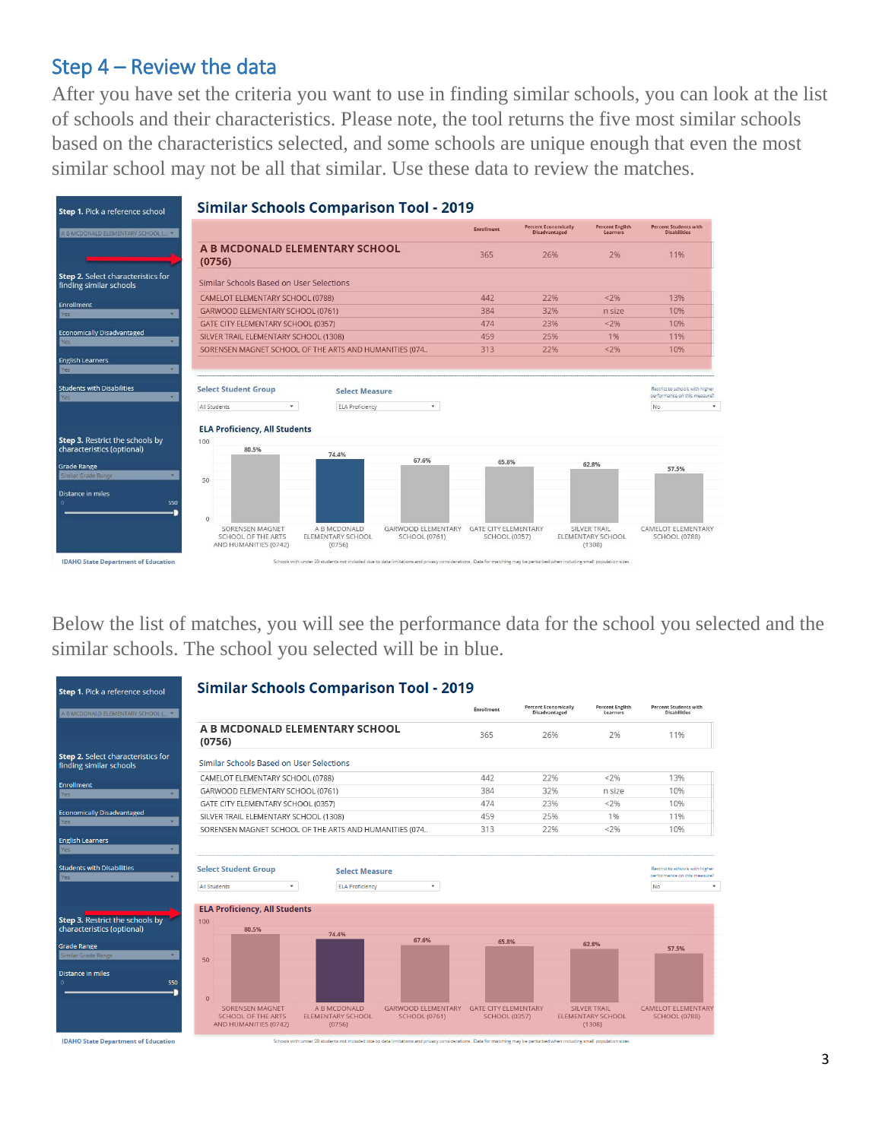#### Step 4 – Review the data

After you have set the criteria you want to use in finding similar schools, you can look at the list of schools and their characteristics. Please note, the tool returns the five most similar schools based on the characteristics selected, and some schools are unique enough that even the most similar school may not be all that similar. Use these data to review the matches.

| A B MCDONALD ELEMENTARY SCHOOL ( *                                                              |                                                        |                                                 |              | <b>Enrollment</b> | <b>Percent Economically</b><br><b>Disadvantaged</b> | <b>Percent English</b><br>Learners | <b>Percent Students with</b><br><b>Disabilities</b>                          |
|-------------------------------------------------------------------------------------------------|--------------------------------------------------------|-------------------------------------------------|--------------|-------------------|-----------------------------------------------------|------------------------------------|------------------------------------------------------------------------------|
|                                                                                                 | A B MCDONALD ELEMENTARY SCHOOL<br>(0756)               |                                                 |              | 365               | 26%                                                 | 2%                                 | 11%                                                                          |
| <b>Step 2.</b> Select characteristics for<br>finding similar schools                            | Similar Schools Based on User Selections               |                                                 |              |                   |                                                     |                                    |                                                                              |
|                                                                                                 | CAMELOT ELEMENTARY SCHOOL (0788)                       |                                                 |              | 442               | 22%                                                 | < 2%                               | 13%                                                                          |
|                                                                                                 | GARWOOD ELEMENTARY SCHOOL (0761)                       |                                                 |              | 384               | 32%                                                 | n size                             | 10%                                                                          |
|                                                                                                 | <b>GATE CITY ELEMENTARY SCHOOL (0357)</b>              |                                                 |              | 474               | 23%                                                 | < 2%                               | 10%                                                                          |
| <b>Economically Disadvantaged</b>                                                               | SILVER TRAIL ELEMENTARY SCHOOL (1308)                  |                                                 |              | 459               | 25%                                                 | 1%                                 | 11%                                                                          |
|                                                                                                 | SORENSEN MAGNET SCHOOL OF THE ARTS AND HUMANITIES (074 |                                                 |              | 313               | 22%                                                 | 22%                                | 10%                                                                          |
|                                                                                                 | <b>Select Student Group</b><br>۰<br>All Students       | <b>Select Measure</b><br><b>ELA Proficiency</b> | $\mathbf{v}$ |                   |                                                     |                                    | Restrict to schools with higher<br>performance on this measure?<br><b>No</b> |
| <b>English Learners</b><br><b>Students with Disabilities</b><br>Step 3. Restrict the schools by | <b>ELA Proficiency, All Students</b><br>100            |                                                 |              |                   |                                                     |                                    |                                                                              |
|                                                                                                 | 80.5%                                                  | 74.4%                                           |              |                   |                                                     |                                    |                                                                              |
|                                                                                                 |                                                        |                                                 | 67.6%        | 65.8%             |                                                     | 62.8%                              | 57.5%                                                                        |
| 550                                                                                             | 50                                                     |                                                 |              |                   |                                                     |                                    |                                                                              |
| characteristics (optional)<br>Similar Grade Range                                               | $\Omega$                                               |                                                 |              |                   |                                                     |                                    |                                                                              |

Below the list of matches, you will see the performance data for the school you selected and the similar schools. The school you selected will be in blue.

| Step 1. Pick a reference school                               | <b>Similar Schools Comparison Tool - 2019</b>                                |                                                    |                                                   |                                                     |                                              |                                                           |                                                                 |
|---------------------------------------------------------------|------------------------------------------------------------------------------|----------------------------------------------------|---------------------------------------------------|-----------------------------------------------------|----------------------------------------------|-----------------------------------------------------------|-----------------------------------------------------------------|
| A B MCDONALD ELEMENTARY SCHOOL ( *                            |                                                                              |                                                    |                                                   | Enrollment                                          | <b>Percent Economically</b><br>Disadvantaged | <b>Percent English</b><br>Learners                        | <b>Percent Students with</b><br><b>Disabilities</b>             |
|                                                               | A B MCDONALD ELEMENTARY SCHOOL<br>(0756)                                     |                                                    |                                                   | 365                                                 | 26%                                          | 2%                                                        | 11%                                                             |
| Step 2. Select characteristics for<br>finding similar schools | Similar Schools Based on User Selections                                     |                                                    |                                                   |                                                     |                                              |                                                           |                                                                 |
|                                                               | CAMELOT ELEMENTARY SCHOOL (0788)                                             |                                                    |                                                   | 442                                                 | 22%                                          | < 2%                                                      | 13%                                                             |
| Enrollment<br>Yes                                             | GARWOOD ELEMENTARY SCHOOL (0761)                                             |                                                    |                                                   | 384                                                 | 32%                                          | n size                                                    | 10%                                                             |
|                                                               | GATE CITY ELEMENTARY SCHOOL (0357)                                           |                                                    |                                                   | 474                                                 | 23%                                          | < 2%                                                      | 10%                                                             |
| <b>Economically Disadvantaged</b>                             | SILVER TRAIL ELEMENTARY SCHOOL (1308)                                        |                                                    |                                                   | 459                                                 | 25%                                          | 1%                                                        | 11%                                                             |
| <b>Yes</b>                                                    | SORENSEN MAGNET SCHOOL OF THE ARTS AND HUMANITIES (074                       |                                                    |                                                   | 313                                                 | 22%                                          | < 2%                                                      | 10%                                                             |
| <b>English Learners</b><br>Yes                                |                                                                              |                                                    |                                                   |                                                     |                                              |                                                           |                                                                 |
| <b>Students with Disabilities</b><br>Yes                      | <b>Select Student Group</b>                                                  | <b>Select Measure</b>                              |                                                   |                                                     |                                              |                                                           | Restrict to schools with higher<br>performance on this measure? |
|                                                               | <b>All Students</b><br>$\pmb{\mathbf{v}}$                                    | <b>ELA Proficiency</b>                             | $\mathbf{v}$                                      |                                                     |                                              |                                                           | No                                                              |
|                                                               | <b>ELA Proficiency, All Students</b>                                         |                                                    |                                                   |                                                     |                                              |                                                           |                                                                 |
| Step 3. Restrict the schools by<br>characteristics (optional) | 100<br>80.5%                                                                 |                                                    |                                                   |                                                     |                                              |                                                           |                                                                 |
|                                                               |                                                                              | 74.4%                                              | 67.6%                                             | 65.8%                                               |                                              | 62.8%                                                     |                                                                 |
| <b>Grade Range</b><br>Similar Grade Range                     | 50                                                                           |                                                    |                                                   |                                                     |                                              |                                                           | 57.5%                                                           |
| <b>Distance in miles</b>                                      |                                                                              |                                                    |                                                   |                                                     |                                              |                                                           |                                                                 |
| 550                                                           | $\Omega$                                                                     |                                                    |                                                   |                                                     |                                              |                                                           |                                                                 |
|                                                               | <b>SORENSEN MAGNET</b><br><b>SCHOOL OF THE ARTS</b><br>AND HUMANITIES (0742) | A B MCDONALD<br><b>ELEMENTARY SCHOOL</b><br>(0756) | <b>GARWOOD ELEMENTARY</b><br><b>SCHOOL (0761)</b> | <b>GATE CITY ELEMENTARY</b><br><b>SCHOOL (0357)</b> |                                              | <b>SILVER TRAIL</b><br><b>ELEMENTARY SCHOOL</b><br>(1308) | <b>CAMELOT ELEMENTARY</b><br><b>SCHOOL (0788)</b>               |

**IDAHO State Department of Education** 

with under 20 sti tations and privacy considerations. Data for matching may be perturbed when including small population size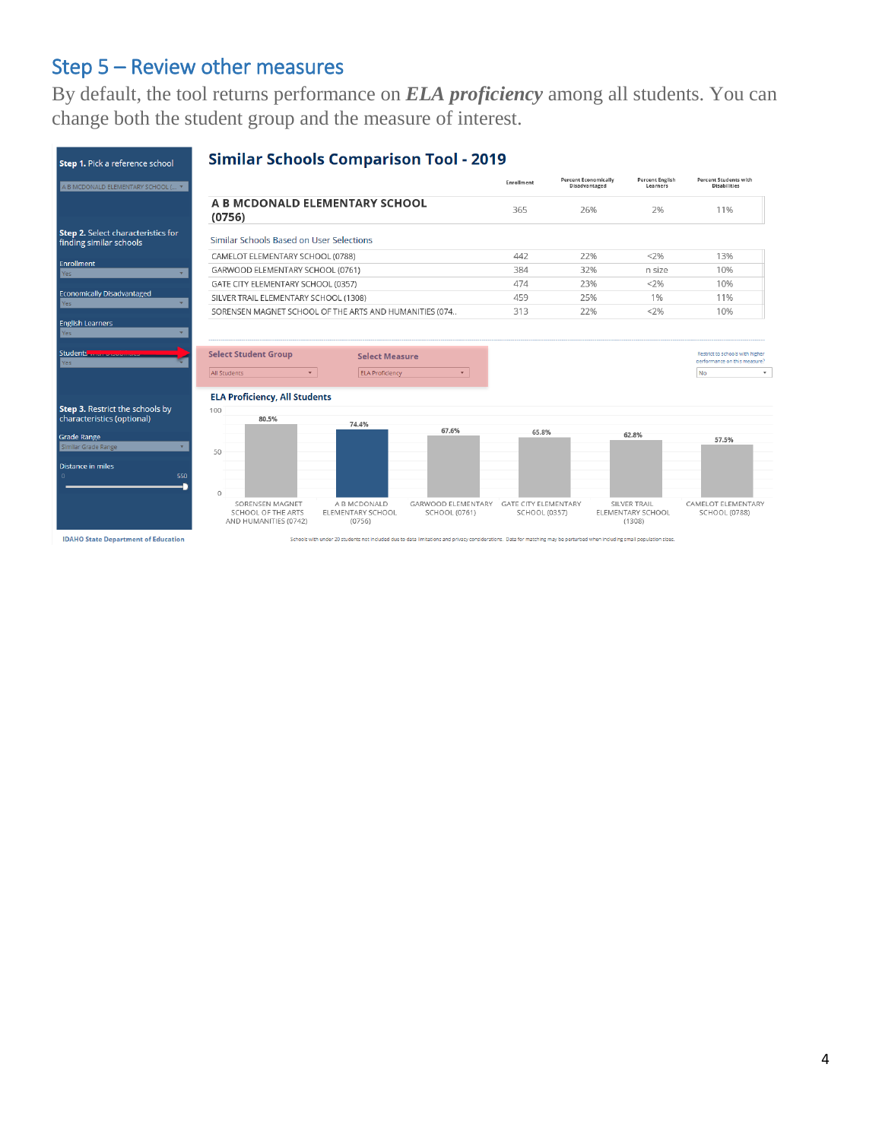## Step 5 – Review other measures

By default, the tool returns performance on *ELA proficiency* among all students. You can change both the student group and the measure of interest.



4